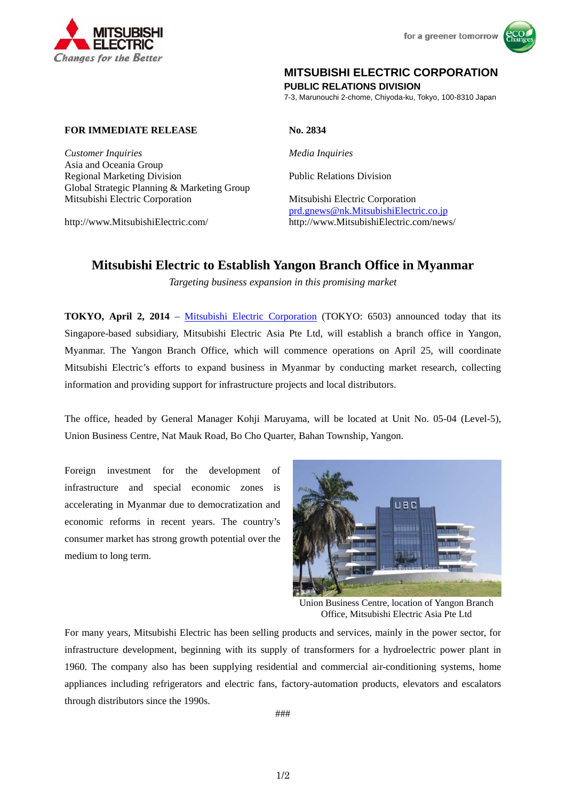



## **MITSUBISHI ELECTRIC CORPORATION**

**PUBLIC RELATIONS DIVISION** 

7-3, Marunouchi 2-chome, Chiyoda-ku, Tokyo, 100-8310 Japan

## **FOR IMMEDIATE RELEASE No. 2834**

*Customer Inquiries Media Inquiries* Asia and Oceania Group Regional Marketing Division<br>
Public Relations Division Global Strategic Planning & Marketing Group Mitsubishi Electric Corporation Mitsubishi Electric Corporation

prd.gnews@nk.MitsubishiElectric.co.jp http://www.MitsubishiElectric.com/ http://www.MitsubishiElectric.com/news/

# **Mitsubishi Electric to Establish Yangon Branch Office in Myanmar**

*Targeting business expansion in this promising market* 

**TOKYO, April 2, 2014** – Mitsubishi Electric Corporation (TOKYO: 6503) announced today that its Singapore-based subsidiary, Mitsubishi Electric Asia Pte Ltd, will establish a branch office in Yangon, Myanmar. The Yangon Branch Office, which will commence operations on April 25, will coordinate Mitsubishi Electric's efforts to expand business in Myanmar by conducting market research, collecting information and providing support for infrastructure projects and local distributors.

The office, headed by General Manager Kohji Maruyama, will be located at Unit No. 05-04 (Level-5), Union Business Centre, Nat Mauk Road, Bo Cho Quarter, Bahan Township, Yangon.

Foreign investment for the development of infrastructure and special economic zones is accelerating in Myanmar due to democratization and economic reforms in recent years. The country's consumer market has strong growth potential over the medium to long term.



Union Business Centre, location of Yangon Branch Office, Mitsubishi Electric Asia Pte Ltd

For many years, Mitsubishi Electric has been selling products and services, mainly in the power sector, for infrastructure development, beginning with its supply of transformers for a hydroelectric power plant in 1960. The company also has been supplying residential and commercial air-conditioning systems, home appliances including refrigerators and electric fans, factory-automation products, elevators and escalators through distributors since the 1990s.

###